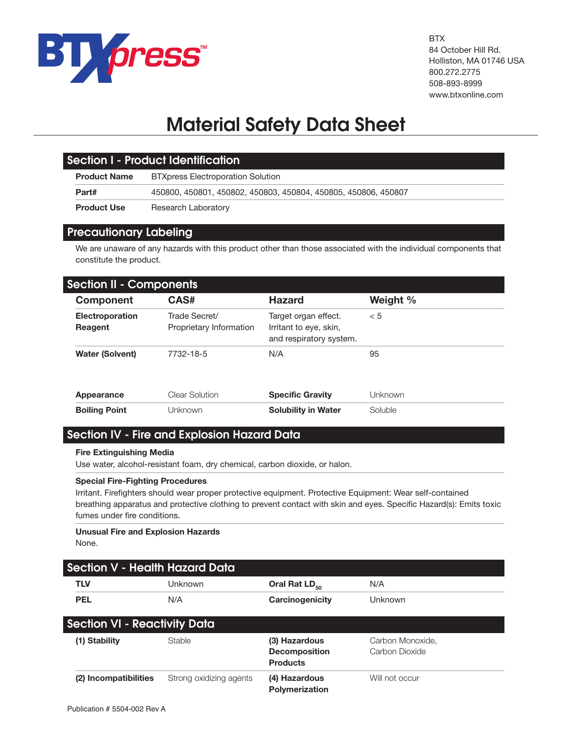

**BTX** 84 October Hill Rd. Holliston, MA 01746 USA 800.272.2775 508-893-8999 www.btxonline.com

# **Material Safety Data Sheet**

| Section I - Product Identification |                                                                |  |
|------------------------------------|----------------------------------------------------------------|--|
| <b>Product Name</b>                | <b>BTXpress Electroporation Solution</b>                       |  |
| Part#                              | 450800, 450801, 450802, 450803, 450804, 450805, 450806, 450807 |  |
| <b>Product Use</b>                 | Research Laboratory                                            |  |

# **Precautionary Labeling**

We are unaware of any hazards with this product other than those associated with the individual components that constitute the product.

| <b>Section II - Components</b> |                                          |                                                                           |           |  |
|--------------------------------|------------------------------------------|---------------------------------------------------------------------------|-----------|--|
| <b>Component</b>               | CAS#                                     | <b>Hazard</b>                                                             | Weight %  |  |
| Electroporation<br>Reagent     | Trade Secret/<br>Proprietary Information | Target organ effect.<br>Irritant to eye, skin,<br>and respiratory system. | < 5       |  |
| <b>Water (Solvent)</b>         | 7732-18-5                                | N/A                                                                       | 95        |  |
| Appearance                     | Clear Solution                           | <b>Specific Gravity</b>                                                   | l Jnknown |  |
| <b>Boiling Point</b>           | l Jnknown                                | <b>Solubility in Water</b>                                                | Soluble   |  |

# **Section IV - Fire and Explosion Hazard Data**

## **Fire Extinguishing Media**

Use water, alcohol-resistant foam, dry chemical, carbon dioxide, or halon.

#### **Special Fire-Fighting Procedures**

Irritant. Firefighters should wear proper protective equipment. Protective Equipment: Wear self-contained breathing apparatus and protective clothing to prevent contact with skin and eyes. Specific Hazard(s): Emits toxic fumes under fire conditions.

# **Unusual Fire and Explosion Hazards**

None.

| <b>Section V - Health Hazard Data</b> |                         |                                                          |                                    |  |  |
|---------------------------------------|-------------------------|----------------------------------------------------------|------------------------------------|--|--|
| <b>TLV</b>                            | Unknown                 | Oral Rat LD <sub>50</sub>                                | N/A                                |  |  |
| <b>PEL</b>                            | N/A                     | Carcinogenicity                                          | Unknown                            |  |  |
| <b>Section VI - Reactivity Data</b>   |                         |                                                          |                                    |  |  |
| (1) Stability                         | <b>Stable</b>           | (3) Hazardous<br><b>Decomposition</b><br><b>Products</b> | Carbon Monoxide,<br>Carbon Dioxide |  |  |
| (2) Incompatibilities                 | Strong oxidizing agents | (4) Hazardous<br><b>Polymerization</b>                   | Will not occur                     |  |  |